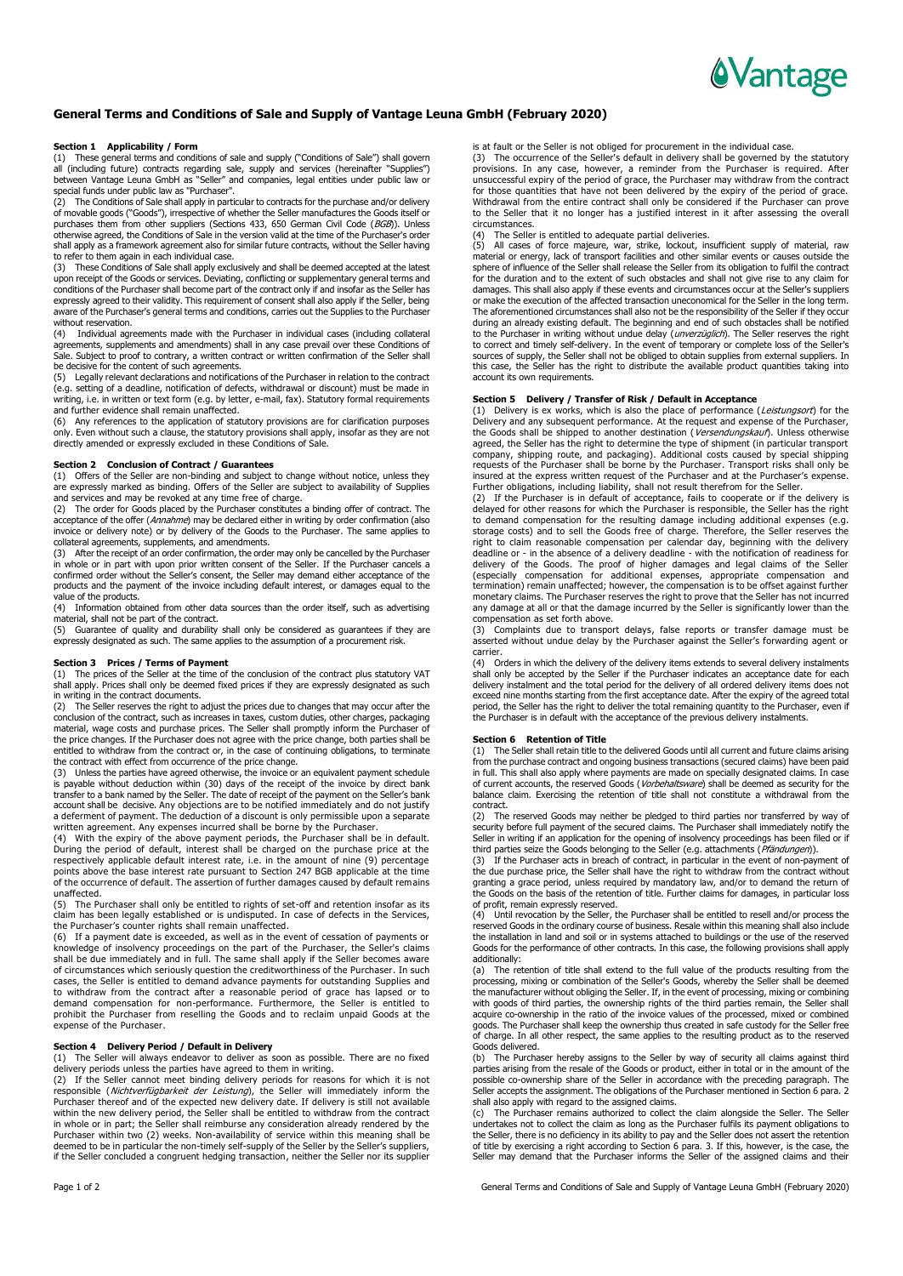

# **General Terms and Conditions of Sale and Supply of Vantage Leuna GmbH (February 2020)**

#### **Section 1 Applicability / Form**

(1) These general terms and conditions of sale and supply ("Conditions of Sale") shall govern all (including future) contracts regarding sale, supply and services (hereinafter "Supplies") between Vantage Leuna GmbH as "Seller" and companies, legal entities under public law or special funds under public law as "Purchaser".

(2) The Conditions of Sale shall apply in particular to contracts for the purchase and/or delivery<br>of movable goods ("Goods"), irrespective of whether the Seller manufactures the Goods itself or<br>purchases them from other s shall apply as a framework agreement also for similar future contracts, without the Seller having to refer to them again in each individual case.

(3) These Conditions of Sale shall apply exclusively and shall be deemed accepted at the latest<br>upon receipt of the Goods or services. Deviating, conflicting or supplementary general terms and<br>conditions of the Purchase expressly agreed to their validity. This requirement of consent shall also apply if the Seller, being aware of the Purchaser's general terms and conditions, carries out the Supplies to the Purchaser without reservation.

(4) Individual agreements made with the Purchaser in individual cases (including collateral agreements, supplements and amendments) shall in any case prevail over these Conditions of Sale. Subject to proof to contrary, a written contract or written confirmation of the Seller shall be decisive for the content of such agreements.

(5) Legally relevant declarations and notifications of the Purchaser in relation to the contract (e.g. setting of a deadline, notification of defects, withdrawal or discount) must be made in writing, i.e. in written or text form (e.g. by letter, e-mail, fax). Statutory formal requirements and further evidence shall remain unaffected.

(6) Any references to the application of statutory provisions are for clarification purposes only. Even without such a clause, the statutory provisions shall apply, insofar as they are not directly amended or expressly excluded in these Conditions of Sale.

### **Section 2 Conclusion of Contract / Guarantees**

(1) Offers of the Seller are non-binding and subject to change without notice, unless they are expressly marked as binding. Offers of the Seller are subject to availability of Supplies and services and may be revoked at any time free of charge.

(2) The order for Goods placed by the Purchaser constitutes a binding offer of contract. The<br>acceptance of the offer (*Annahme*) may be declared either in writing by order confirmation (also<br>invoice or delivery note) or collateral agreements, supplements, and amendments.

(3) After the receipt of an order confirmation, the order may only be cancelled by the Purchaser<br>in whole or in part with upon prior written consent of the Seller. If the Purchaser cancels a<br>confirmed order without t products and the payment of the invoice including default interest, or damages equal to the .<br>value of the products.

(4) Information obtained from other data sources than the order itself, such as advertising

material, shall not be part of the contract. (5) Guarantee of quality and durability shall only be considered as guarantees if they are expressly designated as such. The same applies to the assumption of a procurement risk.

### **Section 3 Prices / Terms of Payment**

(1) The prices of the Seller at the time of the conclusion of the contract plus statutory VAT shall apply. Prices shall only be deemed fixed prices if they are expressly designated as such in writing in the contract documents.

(2) The Seller reserves the right to adjust the prices due to changes that may occur after the conclusion of the contract, such as increases in taxes, custom duties, other charges, packaging material, wage costs and purchase prices. The Seller shall promptly inform the Purchaser of the price changes. If the Purchaser does not agree with the price change, both parties shall be entitled to withdraw from the contract or, in the case of continuing obligations, to terminate the contract with effect from occurrence of the price change.

(3) Unless the parties have agreed otherwise, the invoice or an equivalent payment schedule<br>is payable without deduction within (30) days of the receipt of the invoice by direct bank<br>transfer to a bank named by the Seller. account shall be decisive. Any objections are to be notified immediately and do not justify a deferment of payment. The deduction of a discount is only permissible upon a separate

written agreement. Any expenses incurred shall be borne by the Purchaser. (4) With the expiry of the above payment periods, the Purchaser shall be in default. During the period of default, interest shall be charged on the purchase price at the respectively applicable default interest rate, i.e. in the amount of nine (9) percentage points above the base interest rate pursuant to Section 247 BGB applicable at the time of the occurrence of default. The assertion of further damages caused by default remains

unaffected. (5) The Purchaser shall only be entitled to rights of set-off and retention insofar as its claim has been legally established or is undisputed. In case of defects in the Services, the Purchaser's counter rights shall remain unaffected.

(6) If a payment date is exceeded, as well as in the event of cessation of payments or knowledge of insolvency proceedings on the part of the Purchaser, the Seller's claims<br>shall be due immediately and in full. The same shall apply if the Seller becomes aware<br>of circumstances which seriously question the cre cases, the Seller is entitled to demand advance payments for outstanding Supplies and to withdraw from the contract after a reasonable period of grace has lapsed or to demand compensation for non-performance. Furthermore, the Seller is entitled to prohibit the Purchaser from reselling the Goods and to reclaim unpaid Goods at the expense of the Purchaser.

**Section 4 Delivery Period / Default in Delivery** (1) The Seller will always endeavor to deliver as soon as possible. There are no fixed

delivery periods unless the parties have agreed to them in writing.<br>(2) If the Seller cannot meet binding delivery periods for reasons for which it is not<br>responsible (*Nichtverfügbarkeit der Leistung*), the Seller will im within the new delivery period, the Seller shall be entitled to withdraw from the contract in whole or in part; the Seller shall reimburse any consideration already rendered by the Purchaser within two (2) weeks. Non-availability of service within this meaning shall be deemed to be in particular the non-timely self-supply of the Seller by the Seller's suppliers, if the Seller concluded a congruent hedging transaction, neither the Seller nor its supplier

is at fault or the Seller is not obliged for procurement in the individual case.

(3) The occurrence of the Seller's default in delivery shall be governed by the statutory provisions. In any case, however, a reminder from the Purchaser is required. After unsuccessful expiry of the period of grace, the Purchaser may withdraw from the contract for those quantities that have not been delivered by the expiry of the period of grace. Withdrawal from the entire contract shall only be considered if the Purchaser can prove to the Seller that it no longer has a justified interest in it after assessing the overall circumstances.

(4) The Seller is entitled to adequate partial deliveries.<br>(5) All cases of force majeure, war, strike, lockout, insufficient supply of material, raw<br>material or energy, lack of transport facilities and other similar event sphere of influence of the Seller shall release the Seller from its obligation to fulfil the contract for the duration and to the extent of such obstacles and shall not give rise to any claim for damages. This shall also apply if these events and circumstances occur at the Seller's suppliers or make the execution of the affected transaction uneconomical for the Seller in the long term. The aforementioned circumstances shall also not be the responsibility of the Seller if they occur during an already existing default. The beginning and end of such obstacles shall be notified to the Purchaser in writing without undue delay (*unverzüglich*). The Seller reserves the right<br>to correct and timely self-delivery. In the event of temporary or complete loss of the Seller's sources of supply, the Seller shall not be obliged to obtain supplies from external suppliers. In this case, the Seller has the right to distribute the available product quantities taking into account its own requirements.

## **Section 5 Delivery / Transfer of Risk / Default in Acceptance**

(1) Delivery is ex works, which is also the place of performance (*Leistungsort*) for the<br>Delivery and any subsequent performance. At the request and expense of the Purchaser, the Goods shall be shipped to another destination (*Versendungskauf*). Unless otherwise<br>agreed, the Seller has the right to determine the type of shipment (in particular transport company, shipping route, and packaging). Additional costs caused by special shipping requests of the Purchaser shall be borne by the Purchaser. Transport risks shall only be insured at the express written request of the Purchaser and at the Purchaser's expense.

Further obligations, including liability, shall not result therefrom for the Seller. (2) If the Purchaser is in default of acceptance, fails to cooperate or if the delivery is delayed for other reasons for which the Purchaser is responsible, the Seller has the right to demand compensation for the resulting damage including additional expenses (e.g. storage costs) and to sell the Goods free of charge. Therefore, the Seller reserves the right to claim reasonable compensation per calendar day, beginning with the delivery<br>deadline or - in the absence of a delivery deadline - with the notification of readiness for<br>delivery of the Goods. The proof of higher d termination) remain unaffected; however, the compensation is to be offset against further monetary claims. The Purchaser reserves the right to prove that the Seller has not incurred any damage at all or that the damage incurred by the Seller is significantly lower than the

compensation as set forth above. (3) Complaints due to transport delays, false reports or transfer damage must be asserted without undue delay by the Purchaser against the Seller's forwarding agent or carrier.<br>(4) Or

Orders in which the delivery of the delivery items extends to several delivery instalments shall only be accepted by the Seller if the Purchaser indicates an acceptance date for each<br>delivery instalment and the total period for the delivery of all ordered delivery items does not<br>exceed nine months starting from period, the Seller has the right to deliver the total remaining quantity to the Purchaser, even if the Purchaser is in default with the acceptance of the previous delivery instalments.

## **Section 6 Retention of Title**

(1) The Seller shall retain title to the delivered Goods until all current and future claims arising from the purchase contract and ongoing business transactions (secured claims) have been paid in full. This shall also apply where payments are made on specially designated claims. In case<br>of current accounts, the reserved Goods (*Vorbehaltsware*) shall be deemed as security for the balance claim. Exercising the retention of title shall not constitute a withdrawal from the

contract.<br>(2) The The reserved Goods may neither be pledged to third parties nor transferred by way of security before full payment of the secured claims. The Purchaser shall immediately notify the Seller in writing if an application for the opening of insolvency proceedings has been filed or if

third parties seize the Goods belonging to the Seller (e.g. attachments (*Pfändungen*)).<br>(3) If the Purchaser acts in breach of contract, in particular in the event of non-payment of the due purchase price, the Seller shall have the right to withdraw from the contract without granting a grace period, unless required by mandatory law, and/or to demand the return of the Goods on the basis of the retention of title. Further claims for damages, in particular loss

of profit, remain expressly reserved. (4) Until revocation by the Seller, the Purchaser shall be entitled to resell and/or process the reserved Goods in the ordinary course of business. Resale within this meaning shall also include the installation in land and soil or in systems attached to buildings or the use of the reserved Goods for the performance of other contracts. In this case, the following provisions shall apply additionally:

(a) The retention of title shall extend to the full value of the products resulting from the processing, mixing or combination of the Seller's Goods, whereby the Seller shall be deemed the manufacturer without obliging the Seller. If, in the event of processing, mixing or combining with goods of third parties, the ownership rights of the third parties remain, the Seller shall acquire co-ownership in the ratio of the invoice values of the processed, mixed or combined goods. The Purchaser shall keep the ownership thus created in safe custody for the Seller free of charge. In all other respect, the same applies to the resulting product as to the reserved Goods delivered.

(b) The Purchaser hereby assigns to the Seller by way of security all claims against third parties arising from the resale of the Goods or product, either in total or in the amount of the possible co-ownership share of the shall also apply with regard to the assigned claims.

(c) The Purchaser remains authorized to collect the claim alongside the Seller. The Seller<br>undertakes not to collect the claim as long as the Purchaser fulfils its payment obligations to the Seller, there is no deficiency in its ability to pay and the Seller does not assert the retention<br>of title by exercising a right according to Section 6 para. 3. If this, however, is the case, the<br>Seller may demand that